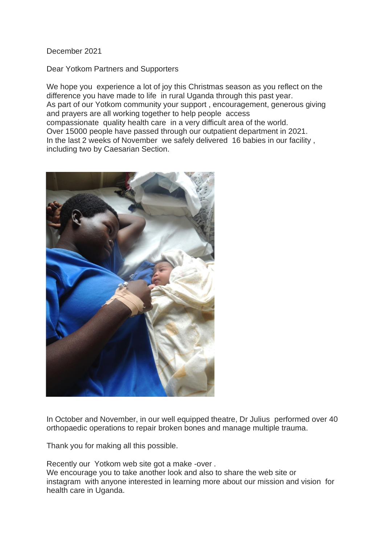## December 2021

## Dear Yotkom Partners and Supporters

We hope you experience a lot of joy this Christmas season as you reflect on the difference you have made to life in rural Uganda through this past year. As part of our Yotkom community your support, encouragement, generous giving and prayers are all working together to help people access compassionate quality health care in a very difficult area of the world. Over 15000 people have passed through our outpatient department in 2021. In the last 2 weeks of November we safely delivered 16 babies in our facility , including two by Caesarian Section.



In October and November, in our well equipped theatre, Dr Julius performed over 40 orthopaedic operations to repair broken bones and manage multiple trauma.

Thank you for making all this possible.

Recently our Yotkom web site got a make -over . We encourage you to take another look and also to share the web site or instagram with anyone interested in learning more about our mission and vision for health care in Uganda.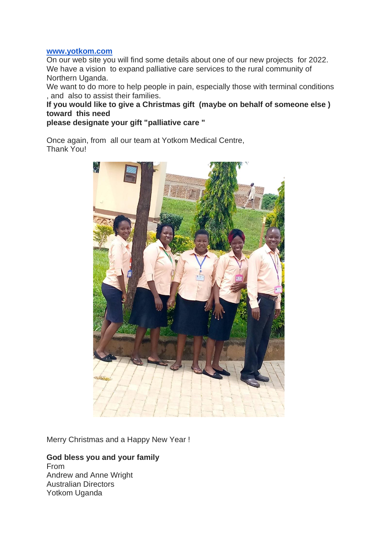## **[www.yotkom.com](http://www.yotkom.com/)**

On our web site you will find some details about one of our new projects for 2022. We have a vision to expand palliative care services to the rural community of Northern Uganda.

We want to do more to help people in pain, especially those with terminal conditions , and also to assist their families.

**If you would like to give a Christmas gift (maybe on behalf of someone else ) toward this need**

**please designate your gift "palliative care "**

Once again, from all our team at Yotkom Medical Centre, Thank You!



Merry Christmas and a Happy New Year !

## **God bless you and your family**

From Andrew and Anne Wright Australian Directors Yotkom Uganda